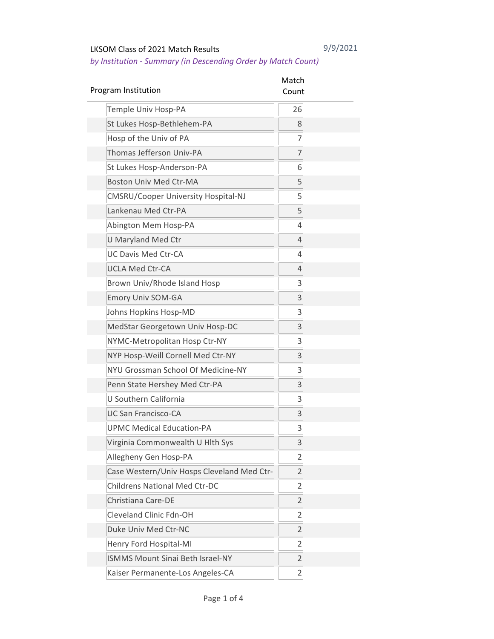| Program Institution                        | Match<br>Count |  |
|--------------------------------------------|----------------|--|
| Temple Univ Hosp-PA                        | 26             |  |
| St Lukes Hosp-Bethlehem-PA                 | 8              |  |
| Hosp of the Univ of PA                     | 7              |  |
| Thomas Jefferson Univ-PA                   | 7              |  |
| St Lukes Hosp-Anderson-PA                  | 6              |  |
| <b>Boston Univ Med Ctr-MA</b>              | 5              |  |
| <b>CMSRU/Cooper University Hospital-NJ</b> | 5              |  |
| Lankenau Med Ctr-PA                        | 5              |  |
| Abington Mem Hosp-PA                       | 4              |  |
| <b>U Maryland Med Ctr</b>                  | $\overline{4}$ |  |
| <b>UC Davis Med Ctr-CA</b>                 | 4              |  |
| <b>UCLA Med Ctr-CA</b>                     | 4              |  |
| Brown Univ/Rhode Island Hosp               | 3              |  |
| <b>Emory Univ SOM-GA</b>                   | 3              |  |
| Johns Hopkins Hosp-MD                      | 3              |  |
| MedStar Georgetown Univ Hosp-DC            | 3              |  |
| NYMC-Metropolitan Hosp Ctr-NY              | 3              |  |
| NYP Hosp-Weill Cornell Med Ctr-NY          | 3              |  |
| NYU Grossman School Of Medicine-NY         | 3              |  |
| Penn State Hershey Med Ctr-PA              | 3              |  |
| U Southern California                      | 3              |  |
| <b>UC San Francisco-CA</b>                 | 3              |  |
| <b>UPMC Medical Education-PA</b>           | 3              |  |
| Virginia Commonwealth U Hlth Sys           | 3              |  |
| Allegheny Gen Hosp-PA                      | $\overline{2}$ |  |
| Case Western/Univ Hosps Cleveland Med Ctr- | $\overline{2}$ |  |
| <b>Childrens National Med Ctr-DC</b>       | $\overline{2}$ |  |
| Christiana Care-DE                         | $\overline{2}$ |  |
| <b>Cleveland Clinic Fdn-OH</b>             | $\overline{2}$ |  |
| Duke Univ Med Ctr-NC                       | $\overline{2}$ |  |
| Henry Ford Hospital-MI                     | $\overline{c}$ |  |
| <b>ISMMS Mount Sinai Beth Israel-NY</b>    | $\overline{2}$ |  |
| Kaiser Permanente-Los Angeles-CA           | 2              |  |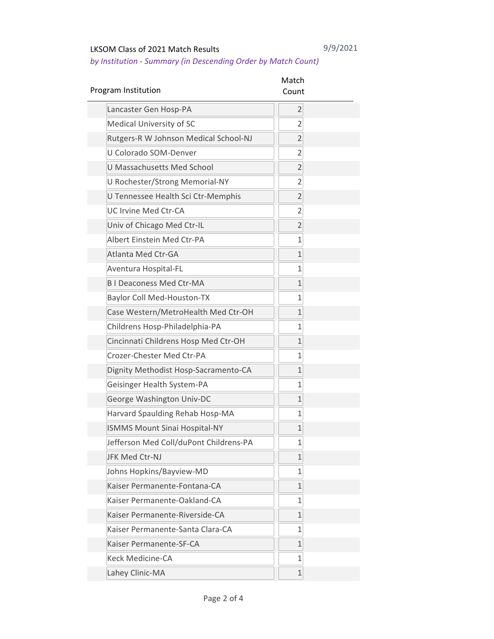| Program Institution                    | Match<br>Count |
|----------------------------------------|----------------|
| Lancaster Gen Hosp-PA                  | $\overline{2}$ |
| Medical University of SC               | $\overline{2}$ |
| Rutgers-R W Johnson Medical School-NJ  | $\overline{2}$ |
| U Colorado SOM-Denver                  | $\overline{2}$ |
| U Massachusetts Med School             | $\overline{2}$ |
| U Rochester/Strong Memorial-NY         | $\overline{2}$ |
| U Tennessee Health Sci Ctr-Memphis     | $\overline{2}$ |
| <b>UC Irvine Med Ctr-CA</b>            | $\overline{2}$ |
| Univ of Chicago Med Ctr-IL             | $\overline{2}$ |
| Albert Einstein Med Ctr-PA             | $\overline{1}$ |
| Atlanta Med Ctr-GA                     | $\overline{1}$ |
| Aventura Hospital-FL                   | $\overline{1}$ |
| <b>BI Deaconess Med Ctr-MA</b>         | $\mathbf{1}$   |
| <b>Baylor Coll Med-Houston-TX</b>      | $\overline{1}$ |
| Case Western/MetroHealth Med Ctr-OH    | $\overline{1}$ |
| Childrens Hosp-Philadelphia-PA         | $\overline{1}$ |
| Cincinnati Childrens Hosp Med Ctr-OH   | $\overline{1}$ |
| Crozer-Chester Med Ctr-PA              | $\overline{1}$ |
| Dignity Methodist Hosp-Sacramento-CA   | $\overline{1}$ |
| Geisinger Health System-PA             | $\overline{1}$ |
| George Washington Univ-DC              | $\mathbf{1}$   |
| Harvard Spaulding Rehab Hosp-MA        | $\overline{1}$ |
| <b>ISMMS Mount Sinai Hospital-NY</b>   | $\mathbf 1$    |
| Jefferson Med Coll/duPont Childrens-PA | 1              |
| JFK Med Ctr-NJ                         | $\mathbf{1}$   |
| Johns Hopkins/Bayview-MD               | $\mathbf{1}$   |
| Kaiser Permanente-Fontana-CA           | $\mathbf{1}$   |
| Kaiser Permanente-Oakland-CA           | $\mathbf{1}$   |
| Kaiser Permanente-Riverside-CA         | $\mathbf{1}$   |
| Kaiser Permanente-Santa Clara-CA       | $\mathbf{1}$   |
| Kaiser Permanente-SF-CA                | $\mathbf 1$    |
| <b>Keck Medicine-CA</b>                | $\mathbf 1$    |
| Lahey Clinic-MA                        | $\mathbf{1}$   |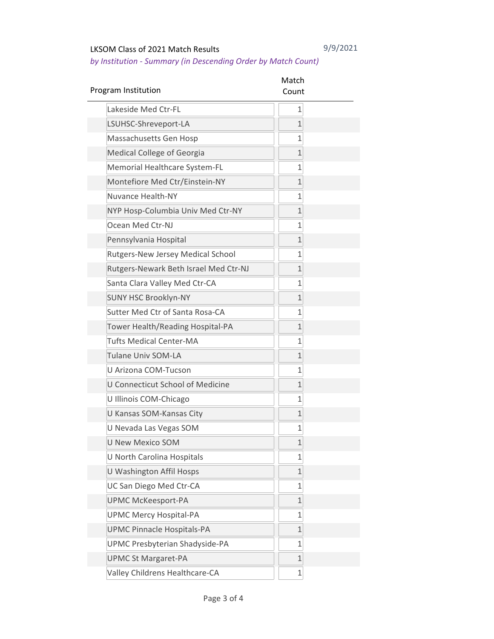| Program Institution                   | Match<br>Count |  |
|---------------------------------------|----------------|--|
| Lakeside Med Ctr-FL                   | $\mathbf 1$    |  |
| LSUHSC-Shreveport-LA                  | $\overline{1}$ |  |
| Massachusetts Gen Hosp                | 1              |  |
| Medical College of Georgia            | $\overline{1}$ |  |
| Memorial Healthcare System-FL         | $\overline{1}$ |  |
| Montefiore Med Ctr/Einstein-NY        | $\mathbf 1$    |  |
| <b>Nuvance Health-NY</b>              | $\overline{1}$ |  |
| NYP Hosp-Columbia Univ Med Ctr-NY     | $\mathbf{1}$   |  |
| Ocean Med Ctr-NJ                      | $\overline{1}$ |  |
| Pennsylvania Hospital                 | $\mathbf{1}$   |  |
| Rutgers-New Jersey Medical School     | $\overline{1}$ |  |
| Rutgers-Newark Beth Israel Med Ctr-NJ | $\mathbf{1}$   |  |
| Santa Clara Valley Med Ctr-CA         | $\overline{1}$ |  |
| <b>SUNY HSC Brooklyn-NY</b>           | $\mathbf{1}$   |  |
| Sutter Med Ctr of Santa Rosa-CA       | 1              |  |
| Tower Health/Reading Hospital-PA      | $\mathbf{1}$   |  |
| <b>Tufts Medical Center-MA</b>        | $\mathbf{1}$   |  |
| Tulane Univ SOM-LA                    | $\mathbf{1}$   |  |
| U Arizona COM-Tucson                  | $\mathbf{1}$   |  |
| U Connecticut School of Medicine      | $\mathbf{1}$   |  |
| U Illinois COM-Chicago                | $\mathbf{1}$   |  |
| U Kansas SOM-Kansas City              | $\mathbf{1}$   |  |
| U Nevada Las Vegas SOM                | 1              |  |
| <b>U New Mexico SOM</b>               | 1              |  |
| U North Carolina Hospitals            | 1              |  |
| U Washington Affil Hosps              | $\mathbf 1$    |  |
| UC San Diego Med Ctr-CA               | $\mathbf 1$    |  |
| <b>UPMC McKeesport-PA</b>             | $\mathbf 1$    |  |
| <b>UPMC Mercy Hospital-PA</b>         | $\mathbf 1$    |  |
| <b>UPMC Pinnacle Hospitals-PA</b>     | $\mathbf 1$    |  |
| UPMC Presbyterian Shadyside-PA        | 1              |  |
| <b>UPMC St Margaret-PA</b>            | $\mathbf 1$    |  |
| Valley Childrens Healthcare-CA        | 1              |  |